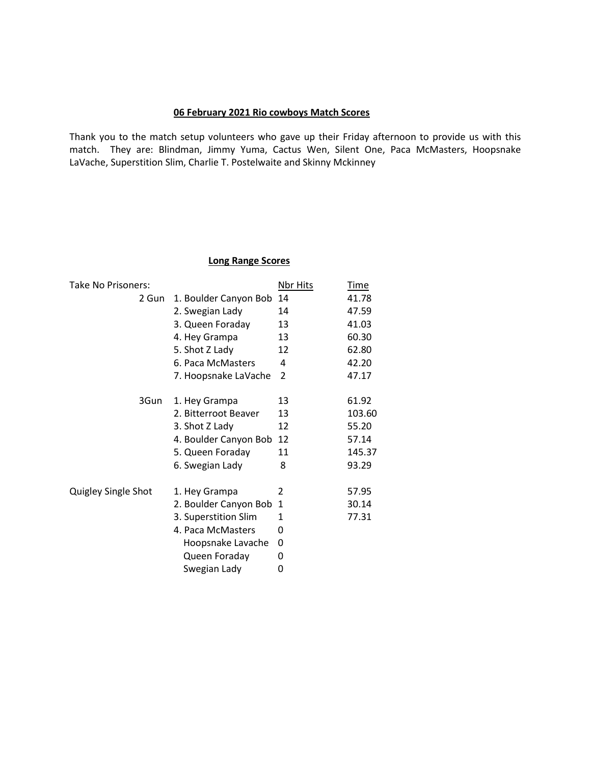#### **06 February 2021 Rio cowboys Match Scores**

Thank you to the match setup volunteers who gave up their Friday afternoon to provide us with this match. They are: Blindman, Jimmy Yuma, Cactus Wen, Silent One, Paca McMasters, Hoopsnake LaVache, Superstition Slim, Charlie T. Postelwaite and Skinny Mckinney

#### **Long Range Scores**

| Take No Prisoners:  |                       | Nbr Hits | <b>Time</b> |
|---------------------|-----------------------|----------|-------------|
| 2 Gun               | 1. Boulder Canyon Bob | 14       | 41.78       |
|                     | 2. Swegian Lady       | 14       | 47.59       |
|                     | 3. Queen Foraday      | 13       | 41.03       |
|                     | 4. Hey Grampa         | 13       | 60.30       |
|                     | 5. Shot Z Lady        | 12       | 62.80       |
|                     | 6. Paca McMasters     | 4        | 42.20       |
|                     | 7. Hoopsnake LaVache  | 2        | 47.17       |
| 3Gun                | 1. Hey Grampa         | 13       | 61.92       |
|                     | 2. Bitterroot Beaver  | 13       | 103.60      |
|                     | 3. Shot Z Lady        | 12       | 55.20       |
|                     | 4. Boulder Canyon Bob | 12       | 57.14       |
|                     | 5. Queen Foraday      | 11       | 145.37      |
|                     | 6. Swegian Lady       | 8        | 93.29       |
| Quigley Single Shot | 1. Hey Grampa         | 2        | 57.95       |
|                     | 2. Boulder Canyon Bob | 1        | 30.14       |
|                     | 3. Superstition Slim  | 1        | 77.31       |
|                     | 4. Paca McMasters     | 0        |             |
|                     | Hoopsnake Lavache     | 0        |             |
|                     | Queen Foraday         | 0        |             |
|                     | Swegian Lady          | 0        |             |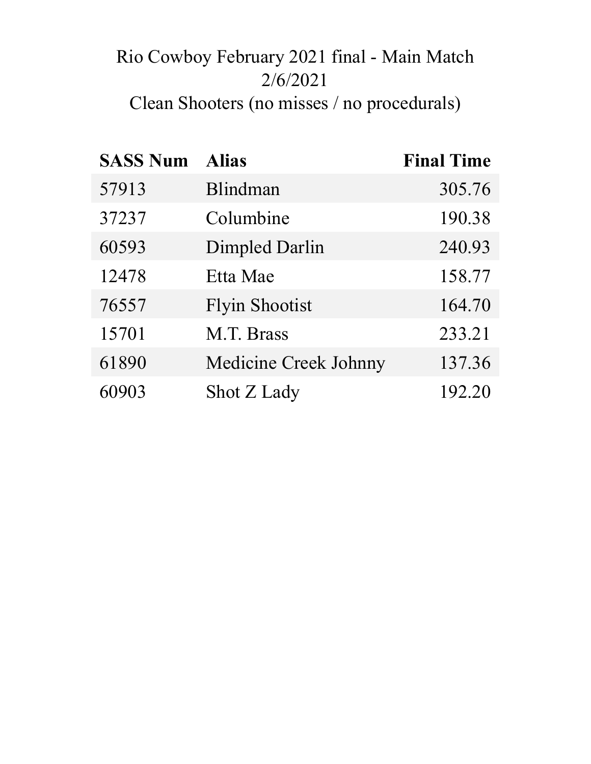# Rio Cowboy February 2021 final - Main Match 2/6/2021 Clean Shooters (no misses / no procedurals)

| <b>SASS Num</b> | <b>Alias</b>                 | <b>Final Time</b> |
|-----------------|------------------------------|-------------------|
| 57913           | Blindman                     | 305.76            |
| 37237           | Columbine                    | 190.38            |
| 60593           | Dimpled Darlin               | 240.93            |
| 12478           | Etta Mae                     | 158.77            |
| 76557           | <b>Flyin Shootist</b>        | 164.70            |
| 15701           | M.T. Brass                   | 233.21            |
| 61890           | <b>Medicine Creek Johnny</b> | 137.36            |
| 60903           | Shot Z Lady                  | 192.20            |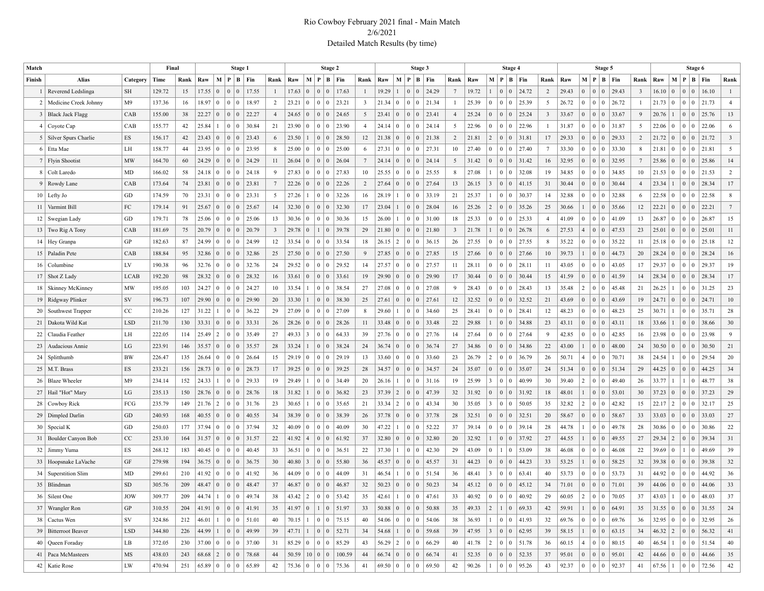#### Rio Cowboy February 2021 final - Main Match 2/6/2021 Detailed Match Results (by time)

| Match           |                          |                | Final  |      |             |                 | Stage 1                           |                                                                                            |                 |       |                         | Stage 2                           |                                                       |                         |                |                 | Stage 3                                |         |                 |       |                 | Stage 4                          |                                                                            |                |       |                | Stage 5                                   |                                                                            |                         |                |                 |                                   | Stage 6                                                             |                 |
|-----------------|--------------------------|----------------|--------|------|-------------|-----------------|-----------------------------------|--------------------------------------------------------------------------------------------|-----------------|-------|-------------------------|-----------------------------------|-------------------------------------------------------|-------------------------|----------------|-----------------|----------------------------------------|---------|-----------------|-------|-----------------|----------------------------------|----------------------------------------------------------------------------|----------------|-------|----------------|-------------------------------------------|----------------------------------------------------------------------------|-------------------------|----------------|-----------------|-----------------------------------|---------------------------------------------------------------------|-----------------|
| Finish          | Alias                    | Category       | Time   | Rank | Raw         |                 | M P                               | B   Fin                                                                                    | Rank            | Raw   |                         | M   P   B   Fin                   |                                                       | Rank                    | Raw            | М               | ∣P.                                    | B   Fin | Rank            | Raw   |                 |                                  | M   P   B   Fin                                                            | Rank           | Raw   |                |                                           | M   P   B   Fin                                                            | Rank                    | Raw            |                 |                                   | M   P   B   Fin                                                     | Rank            |
|                 | Reverend Ledslinga       | <b>SH</b>      | 129.72 | 15   | 17.55       | $\overline{0}$  | $\overline{0}$<br>$\Omega$        | 17.55                                                                                      | $\mathbf{1}$    | 17.63 | $\overline{0}$          | $\vert 0 \vert$<br>$\overline{0}$ | 17.63                                                 |                         | 19.29          | $\overline{1}$  | $\overline{0}$<br>$\Omega$             | 24.29   | $7\phantom{.0}$ | 19.72 |                 | $\overline{0}$                   | 0 24.72                                                                    | 2              | 29.43 | $\overline{0}$ | $\mathbf{0}$<br>$\mathbf{0}$              | 29.43                                                                      | $\overline{\mathbf{3}}$ | 16.10          | $\Omega$        | $\vert 0 \vert$<br>$\overline{0}$ | 16.10                                                               | $\mathbf{1}$    |
| 2               | Medicine Creek Johnny    | M <sup>9</sup> | 137.36 | 16   | 18.97       | $\overline{0}$  | $\mathbf{0}$<br>$\theta$          | 18.97                                                                                      | $\overline{2}$  | 23.21 | $\Omega$                | 0 <sup>10</sup>                   | 23.21                                                 | $\overline{\mathbf{3}}$ | 21.34          | 0               | $\overline{0}$<br>$^{\circ}$           | 21.34   |                 | 25.39 | $\overline{0}$  |                                  | 0 0 25.39                                                                  | 5              | 26.72 | $\overline{0}$ | $\overline{0}$<br>$\vert 0 \vert$         | 26.72                                                                      | $\mathbf{1}$            | 21.73          | $\Omega$        | 0 <sup>1</sup>                    | 21.73                                                               | $\overline{4}$  |
|                 | 3   Black Jack Flagg     | CAB            | 155.00 | 38   | 22.27       | $\overline{0}$  | $\overline{0}$<br>$\mathbf{0}$    | 22.27                                                                                      | $\overline{4}$  | 24.65 | $\overline{0}$          | 0 <sup>10</sup>                   | 24.65                                                 | 5                       | 23.41          | $\vert 0 \vert$ | $\vert 0 \vert$<br>  0                 | 23.41   | $\overline{4}$  | 25.24 | $\overline{0}$  |                                  | 0 0 25.24                                                                  | 3              | 33.67 | $\overline{0}$ | $\mathbf{0}$<br>$\mathbf{0}$              | 33.67                                                                      | 9                       | 20.76          |                 | 0 <sup>10</sup>                   | 25.76                                                               | 13              |
| 4               | Coyote Cap               | CAB            | 155.77 | 42   | 25.84       | 1.              | $\mathbf{0}$<br>$\theta$          | 30.84                                                                                      | 21              | 23.90 | $\Omega$                | 0 <sup>10</sup>                   | 23.90                                                 | $\overline{4}$          | 24.14          | 0               | $\overline{0}$<br>$\Omega$             | 24.14   | 5               | 22.96 | $\overline{0}$  |                                  | 0   0   22.96                                                              | $\overline{1}$ | 31.87 | $\overline{0}$ | $\mathbf{0}$<br>$\overline{0}$            | 31.87                                                                      | 5                       | 22.06          | $\Omega$        | $\vert 0 \vert$<br>$\overline{0}$ | 22.06                                                               | 6               |
|                 | 5   Silver Spurs Charlie | ES             | 156.17 | 42   | 23.43       | $\overline{0}$  | $\overline{0}$<br>$\mathbf{0}$    | 23.43                                                                                      | 6               | 23.50 | $\mathbf{1}$            | 0 <sup>1</sup>                    | 28.50                                                 | 12                      | 21.38          | $\vert 0 \vert$ | $\vert 0$<br>$\vert 0 \vert$           | 21.38   | $\overline{2}$  | 21.81 | $\vert 2 \vert$ |                                  | $0 \mid 0 \mid 31.81$                                                      | 17             | 29.33 | $\overline{0}$ | $\mathbf{0}$<br>$\mathbf{0}$              | 29.33                                                                      | $\overline{c}$          | 21.72          | $\overline{0}$  |                                   | 21.72                                                               | $\overline{3}$  |
|                 | 6   Etta Mae             | LH             | 158.77 | 44   | 23.95       | $\overline{0}$  | $\mathbf{0}$<br>$\theta$          | 23.95                                                                                      | 8               | 25.00 | $\Omega$                | 0 <sup>10</sup>                   | 25.00                                                 | -6                      | 27.31          | $\vert 0 \vert$ | $\Omega$<br>$\overline{0}$             | 27.31   | 10              | 27.40 | $\overline{0}$  |                                  | 0 0 27.40                                                                  | 7              | 33.30 | $\overline{0}$ | $\overline{0}$<br>$\vert 0 \vert$         | 33.30                                                                      | 8                       | 21.81          | $\Omega$        | 0 <sup>10</sup>                   | 21.81                                                               | 5               |
|                 | 7   Flyin Shootist       | <b>MW</b>      | 164.70 | 60   | 24.29       | $\overline{0}$  | $\overline{0}$<br>$\mathbf{0}$    | 24.29                                                                                      | 11              | 26.04 | $\overline{0}$          | 0 <sup>10</sup>                   | 26.04                                                 | 7                       | 24.14          | $\vert 0 \vert$ | $\vert 0$<br>$\vert 0 \vert$           | 24.14   | 5               | 31.42 | $\mathbf{0}$    |                                  | 0 0 31.42                                                                  | 16             | 32.95 | $\overline{0}$ | $\mathbf{0}$<br>$\mathbf{0}$              | 32.95                                                                      | $7\phantom{.0}$         | 25.86          | $\Omega$        | 0 <sup>10</sup>                   | 25.86                                                               | 14              |
| 8               | Colt Laredo              | MD             | 166.02 | 58   | 24.18       | $\overline{0}$  | $\mathbf{0}$<br>$\theta$          | 24.18                                                                                      | 9               | 27.83 | $\Omega$                | 0 <sup>10</sup>                   | 27.83                                                 | 10                      | 25.55          | $\overline{0}$  | $\overline{0}$<br>$\sqrt{ }$           | 25.55   | 8               | 27.08 |                 |                                  | 0   0   32.08                                                              | 19             | 34.85 | $\overline{0}$ | $\mathbf{0}$<br>$\mathbf{0}$              | 34.85                                                                      | 10                      | 21.53          | $\Omega$        | 0 <sup>10</sup>                   | 21.53                                                               | $\overline{2}$  |
|                 | 9 Rowdy Lane             | CAB            | 173.64 | 74   | 23.81       | $\overline{0}$  | $\mathbf{0}$<br>$\mathbf{0}$      | 23.81                                                                                      | $7\overline{ }$ | 22.26 | $\Omega$                | 0 <sup>10</sup>                   | 22.26                                                 | 2                       | 27.64          | $\vert 0 \vert$ | $\vert 0 \vert$<br>$\overline{0}$      | 27.64   | 13              | 26.15 | 3               |                                  | 0   0   41.15                                                              | 31             | 30.44 | $\overline{0}$ | $\mathbf{0}$<br>$\mathbf{0}$              | 30.44                                                                      | $\overline{4}$          | 23.34          |                 | 0 <sup>10</sup>                   | 28.34                                                               | 17              |
|                 | $10$ Lefty Jo            | GD             | 174.59 | 70   | 23.31       | $\overline{0}$  | $\mathbf{0}$<br>$\theta$          | 23.31                                                                                      | 5               | 27.26 |                         | 0 <sup>10</sup>                   | 32.26                                                 | 16                      | 28.19          | $\overline{1}$  | $\overline{0}$<br>$\Omega$             | 33.19   | 21              | 25.37 |                 |                                  | 0   0   30.37                                                              | 14             | 32.88 | $\overline{0}$ | $\mathbf{0}$<br>$\mathbf{0}$              | 32.88                                                                      | 6                       | 22.58          | $\Omega$        | $\vert 0 \vert$<br>$\overline{0}$ | 22.58                                                               | 8               |
|                 | 11   Varmint Bill        | FC             | 179.14 | 91   | 25.67       | $\overline{0}$  | $\overline{0}$<br>$\mathbf{0}$    | 25.67                                                                                      | 14              | 32.30 | $\overline{0}$          | 0 <sup>10</sup>                   | 32.30                                                 | 17                      | 23.04          | $\overline{1}$  | $\vert 0$<br>$\vert 0 \vert$           | 28.04   | 16              | 25.26 | 2               |                                  | 0   0   35.26                                                              | 25             | 30.66 | 1              | $\mathbf{0}$<br>$\mathbf{0}$              | 35.66                                                                      | 12                      | 22.21          | $\Omega$        | $\vert 0 \vert$<br>$\overline{0}$ | 22.21                                                               | $7\overline{ }$ |
| 12 <sub>1</sub> | Swegian Lady             | GD             | 179.71 | 78   | 25.06       | $\mathbf{0}$    | $\mathbf{0}$<br>$\theta$          | 25.06                                                                                      | 13              | 30.36 | $\overline{0}$          | 0 <sup>10</sup>                   | 30.36                                                 | 15                      | 26.00          |                 | $\overline{0}$<br>$\Omega$             | 31.00   | 18              | 25.33 | $\overline{0}$  |                                  | 0 0 25.33                                                                  | $\overline{4}$ | 41.09 | $\overline{0}$ | $\mathbf{0}$<br>$\mathbf{0}$              | 41.09                                                                      | 13                      | 26.87          | $\Omega$        | 0 <sup>10</sup>                   | 26.87                                                               | 15              |
|                 | 13   Two Rig A Tony      | CAB            | 181.69 | 75   | 20.79       | $\overline{0}$  | $\overline{0}$<br>$\mathbf{0}$    | 20.79                                                                                      | $\mathbf{3}$    | 29.78 | $\overline{0}$          | $1 \mid 0$                        | 39.78                                                 | 29                      | 21.80          | $\mathbf{0}$    | $\vert 0 \vert$<br>$\overline{0}$      | 21.80   | 3               | 21.78 |                 |                                  | $0 \mid 0 \mid 26.78$                                                      | 6              | 27.53 | $\overline{4}$ | $\mathbf{0}$<br>$\mathbf{0}$              | 47.53                                                                      | 23                      | 25.01          | $\Omega$        | 0 <sup>10</sup>                   | 25.01                                                               | 11              |
|                 | 14   Hey Granpa          | GP             | 182.63 | 87   | 24.99       | $\mathbf{0}$    | $\mathbf{0}$<br>$\theta$          | 24.99                                                                                      | 12              | 33.54 | $\overline{0}$          | 0 <sup>10</sup>                   | 33.54                                                 | 18                      | 26.15          | 2               | $\overline{0}$<br>-0                   | 36.15   | 26              | 27.55 | $\overline{0}$  |                                  | $0 \mid 0 \mid 27.55$                                                      | 8              | 35.22 | $\overline{0}$ | $\overline{0}$<br>$\mathbf{0}$            | 35.22                                                                      | 11                      | 25.18          | $\Omega$        | $\vert 0 \vert$<br>$\overline{0}$ | 25.18                                                               | 12              |
|                 | 15   Paladin Pete        | CAB            | 188.84 | 95   | 32.86       | $\overline{0}$  | $\overline{0}$<br>$\mathbf{0}$    | 32.86                                                                                      | 25              | 27.50 | $\overline{0}$          | 0 <sup>10</sup>                   | 27.50                                                 | 9                       | 27.85          | $\vert 0 \vert$ | $\vert 0 \vert$<br>$\overline{0}$      | 27.85   | 15              | 27.66 | $\overline{0}$  |                                  | $0 \mid 0 \mid 27.66$                                                      | 10             | 39.73 | 1              | $\mathbf{0}$<br>$\mathbf{0}$              | 44.73                                                                      | 20                      | 28.24          | $\Omega$        | 0 <sup>10</sup>                   | 28.24                                                               | 16              |
|                 | 16 Columbine             | LV             | 190.38 | 96   | 32.76       | $\mathbf{0}$    | $\vert 0 \vert$<br>$\theta$       | 32.76                                                                                      | 24              | 29.52 | $\overline{0}$          | 0 <sup>10</sup>                   | 29.52                                                 | 14                      | 27.57          | $\overline{0}$  | $\Omega$<br>$\overline{0}$             | 27.57   | 11              | 28.11 | $\overline{0}$  |                                  | 0 0 28.11                                                                  | 11             | 43.05 | $\overline{0}$ | $\mathbf{0}$<br>$\bf{0}$                  | 43.05                                                                      | 17                      | 29.37          | $\Omega$        | $\vert 0 \vert$<br>$\overline{0}$ | 29.37                                                               | 19              |
|                 | 17   Shot Z Lady         | LCAB           | 192.20 | 98   | 28.32       | $\vert 0 \vert$ | $\mathbf{0}$<br>$\mathbf{0}$      | 28.32                                                                                      | 16              | 33.61 | $\vert 0 \vert$         | 0 <sup>10</sup>                   | 33.61                                                 | 19                      | 29.90          | $\overline{0}$  | $\vert 0 \vert$<br>$\overline{0}$      | 29.90   | 17              | 30.44 | $\overline{0}$  |                                  | $0 \mid 0$   30.44                                                         | 15             | 41.59 | $\overline{0}$ | $\mathbf{0}$<br>$\mathbf{0}$              | 41.59                                                                      | 14                      | 28.34          | $\Omega$        | 0 <sup>10</sup>                   | 28.34                                                               | 17              |
|                 | 18   Skinney McKinney    | <b>MW</b>      | 195.05 | 103  | 24.27       | $\overline{0}$  | $\mathbf{0}$<br>$\theta$          | 24.27                                                                                      | 10              | 33.54 | $\mathbf{1}$            | 0 <sup>10</sup>                   | 38.54                                                 | 27                      | 27.08          | $\overline{0}$  | $\overline{0}$<br>$\Omega$             | 27.08   | 9               | 28.43 | $\overline{0}$  |                                  | 0 0 28.43                                                                  | 13             | 35.48 | $+2$           | $\mathbf{0}$<br>$\bf{0}$                  | 45.48                                                                      | 21                      | 26.25          |                 | 0 <sup>10</sup>                   | 31.25                                                               | 23              |
|                 | 19   Ridgway Plinker     | SV             | 196.73 | 107  | 29.90       | $\overline{0}$  | $\overline{0}$<br>$\mathbf{0}$    | 29.90                                                                                      | 20              | 33.30 | $\mathbf{1}$            | 0 <sup>1</sup>                    | 38.30                                                 | 25                      | 27.61          | $\mathbf{0}$    | $\vert 0 \vert$<br>$\overline{0}$      | 27.61   | 12              | 32.52 | $\overline{0}$  |                                  | 0 0 32.52                                                                  | 21             | 43.69 | $\overline{0}$ | $\mathbf{0}$<br>$\mathbf{0}$              | 43.69                                                                      | 19                      | 24.71          | $\overline{0}$  | 0 <sup>1</sup>                    | 24.71                                                               | 10              |
|                 | 20   Southwest Trapper   | $_{\rm CC}$    | 210.26 | 127  | 31.22       | 1               | $\theta$<br>$\mathbf{0}$          | 36.22                                                                                      | 29              | 27.09 | $\overline{0}$          | 0 <sup>10</sup>                   | 27.09                                                 | 8                       | 29.60          |                 | $\sqrt{ }$<br>$\overline{0}$           | 34.60   | 25              | 28.41 | $\overline{0}$  |                                  | 0 0 28.41                                                                  | 12             | 48.23 | $\overline{0}$ | $\overline{0}$<br>$\bf{0}$                | 48.23                                                                      | 25                      | 30.71          |                 | 0 <sup>1</sup><br>$\overline{0}$  | 35.71                                                               | 28              |
|                 | 21   Dakota Wild Kat     | <b>LSD</b>     | 211.70 | 130  | 33.31       | $\overline{0}$  | $\overline{0}$<br>$\mathbf{0}$    | 33.31                                                                                      | 26              | 28.26 | $\overline{0}$          | 0 <sup>10</sup>                   | 28.26                                                 | 11                      | 33.48          | $\mathbf{0}$    | $\overline{0}$<br>$\vert 0 \vert$      | 33.48   | 22              | 29.88 |                 |                                  | $0 \mid 0$ 34.88                                                           | 23             | 43.11 | $\overline{0}$ | $\mathbf{0}$<br>$\mathbf{0}$              | 43.11                                                                      | 18                      | 33.66          |                 | 0 <sup>1</sup>                    | 38.66                                                               | 30              |
| 22              | Claudia Feather          | LH             | 222.05 | 114  | 25.49       | $\vert 2 \vert$ | $\mathbf{0}$<br>$\theta$          | 35.49                                                                                      | 27              | 49.33 | $\overline{\mathbf{3}}$ | 0 <sup>10</sup>                   | 64.33                                                 | 39                      | 27.76          | $\overline{0}$  | $\overline{0}$<br>$\Omega$             | 27.76   | 14              | 27.64 | $\mathbf{0}$    |                                  | 0   0   27.64                                                              | 9              | 42.85 | $\overline{0}$ | $\mathbf{0}$<br>$\mathbf{0}$              | 42.85                                                                      | 16                      | 23.98          | $\Omega$        | $\vert 0 \vert$<br>$\overline{0}$ | 23.98                                                               | 9               |
| 23              | Audacious Annie          | LG             | 223.91 | 146  | 35.57       | $\vert 0 \vert$ | $\vert 0 \vert$<br>$\overline{0}$ | 35.57                                                                                      | 28              | 33.24 | $\mathbf{1}$            | 0 <sup>1</sup>                    | 38.24                                                 | 24                      | 36.74          | $\mathbf{0}$    | $\vert 0 \vert$<br>$\overline{0}$      | 36.74   | 27              | 34.86 | $\overline{0}$  |                                  | $0 \mid 0$ 34.86                                                           | 22             | 43.00 | 1              | $\mathbf{0}$<br>$\mathbf{0}$              | 48.00                                                                      | 24                      | 30.50          | $\Omega$        | $\vert 0 \vert$<br>$\overline{0}$ | 30.50                                                               | 21              |
| 24              | Splitthumb               | <b>BW</b>      | 226.47 | 135  | 26.64       | $\mathbf{0}$    | $\mathbf{0}$<br>$\Omega$          | 26.64                                                                                      | 15              | 29.19 | $\vert 0 \vert$         | 0 <sup>10</sup>                   | 29.19                                                 | 13                      | 33.60          | $\overline{0}$  | $\overline{0}$<br>$\Omega$             | 33.60   | 23              | 26.79 | $\vert 2 \vert$ |                                  | $0 \mid 0$   36.79                                                         | 26             | 50.71 | $\overline{4}$ | $\mathbf{0}$<br>$\overline{0}$            | 70.71                                                                      | 38                      | 24.54          |                 | 0 <sup>1</sup><br>$\overline{0}$  | 29.54                                                               | 20              |
|                 | $25$   M.T. Brass        | ES             | 233.21 | 156  | 28.73       | $\overline{0}$  | $\mathbf{0}$<br>$\mathbf{0}$      | 28.73                                                                                      | 17              | 39.25 | $\overline{0}$          | 0 <sup>10</sup>                   | 39.25                                                 | 28                      | 34.57          | $\vert 0 \vert$ | $\vert 0 \vert$<br>$\overline{0}$      | 34.57   | 24              | 35.07 | $\overline{0}$  |                                  | 0 0 35.07                                                                  | 24             | 51.34 | $\overline{0}$ | $\mathbf{0}$<br>$\mathbf{0}$              | 51.34                                                                      | 29                      | 44.25          | $\Omega$        | 0 <sup>1</sup>                    | 44.25                                                               | 34              |
| 26 <sup>1</sup> | <b>Blaze Wheeler</b>     | M9             | 234.14 | 152  | 24.33       | $\mathbf{1}$    | $\mathbf{0}$<br>$\theta$          | 29.33                                                                                      | 19              | 29.49 |                         | 0 <sup>10</sup>                   | 34.49                                                 | 20                      | 26.16          | -1              | $\sqrt{ }$<br>$\overline{0}$           | 31.16   | 19              | 25.99 | 3               |                                  | 0   0   40.99                                                              | 30             | 39.40 | $\overline{2}$ | $\overline{0}$<br>$\mathbf{0}$            | 49.40                                                                      | 26                      | 33.77          |                 | $\overline{0}$<br>$\mathbf{1}$    | 48.77                                                               | 38              |
|                 | 27   Hail "Hot" Mary     | LG             | 235.13 | 150  | 28.76       | $\vert 0 \vert$ | $\mathbf{0}$<br>$\mathbf{0}$      | 28.76                                                                                      | 18              | 31.82 | $\mathbf{1}$            | 0 <sup>1</sup>                    | 36.82                                                 | 23                      | 37.39          | 2               | $\overline{0}$<br>  0                  | 47.39   | 32              | 31.92 | $\overline{0}$  |                                  | $0 \mid 0 \mid 31.92$                                                      | 18             | 48.01 | $\mathbf{1}$   | $\mathbf{0}$<br>$\overline{0}$            | 53.01                                                                      | 30                      | 37.23          | $\Omega$        | $\vert 0 \vert$<br>$\overline{0}$ | 37.23                                                               | 29              |
| 28              | Cowboy Rick              | FCG            | 235.79 | 149  | 21.76       | $\vert 2 \vert$ | $\mathbf{0}$<br>$\theta$          | 31.76                                                                                      | 23              | 30.65 |                         | 0 <sup>10</sup>                   | 35.65                                                 | 21                      | 33.34          | 2               | $\overline{0}$<br>-0                   | 43.34   | 30              | 35.05 | 3               |                                  | 0   0   50.05                                                              | 35             | 32.82 | $+2$           | $\mathbf{0}$<br>$\mathbf{0}$              | 42.82                                                                      | 15                      | 22.17          | $\vert 2 \vert$ | $\vert 0 \vert$<br>$\overline{0}$ | 32.17                                                               | 25              |
|                 | 29   Dimpled Darlin      | GD             | 240.93 | 168  | 40.55       | $\overline{0}$  | $\overline{0}$<br>$\mathbf{0}$    | 40.55                                                                                      | 34              | 38.39 | $\overline{0}$          | 0 <sup>10</sup>                   | 38.39                                                 | 26                      | 37.78          | $\mathbf{0}$    | $\vert 0 \vert$<br>  0                 | 37.78   | 28              | 32.51 | $\overline{0}$  |                                  | $0 \mid 0$   32.51                                                         | 20             | 58.67 | $\overline{0}$ | $\mathbf{0}$<br>$\mathbf{0}$              | 58.67                                                                      | 33                      | 33.03          | $\Omega$        | $\vert 0 \vert$<br>$\overline{0}$ | 33.03                                                               | 27              |
|                 | 30   Special K           | GD             | 250.03 | 177  | 37.94       | $\overline{0}$  | $\theta$<br>$\vert 0 \vert$       | 37.94                                                                                      | 32              | 40.09 | $\overline{0}$          | $\Omega$<br>$\Omega$              | 40.09                                                 | 30                      | 47.22          | -1              | $\overline{0}$<br>-0                   | 52.22   | 37              | 39.14 | $\overline{0}$  |                                  | 0 0 39.14                                                                  | 28             | 44.78 |                | $\overline{0}$<br>$\mathbf{0}$            | 49.78                                                                      | 28                      | 30.86          | $\Omega$        | $\vert 0 \vert$<br>$\overline{0}$ | 30.86                                                               | 22              |
|                 | 31   Boulder Canyon Bob  | CC             | 253.10 | 164  | 31.57       | $\vert 0 \vert$ | $\mathbf{0}$<br>$\vert 0 \vert$   | 31.57                                                                                      | 22              | 41.92 | $\vert 4 \vert$         | 0 <sup>1</sup>                    | 61.92                                                 | 37                      | 32.80          | $\overline{0}$  | $\vert 0$<br>$\overline{0}$            | 32.80   | 20              | 32.92 |                 |                                  | 0   0   37.92                                                              | 27             | 44.55 |                | $\mathbf{0}$<br>$\overline{0}$            | 49.55                                                                      | 27                      | 29.34          | $\vert 2 \vert$ | $\vert 0 \vert$<br>$\overline{0}$ | 39.34                                                               | 31              |
|                 | 32 Jimmy Yuma            | ES             | 268.12 | 183  | 40.45       | $\overline{0}$  | $\mathbf{0}$<br>$\theta$          | 40.45                                                                                      | 33              | 36.51 | $\overline{0}$          | 0 <sup>10</sup>                   | 36.51                                                 | 22                      | 37.30          | $\overline{1}$  | $\sqrt{ }$<br>$\overline{0}$           | 42.30   | 29              | 43.09 | $\mathbf{0}$    | $\mathbf{1}$                     | $ 0 $ 53.09                                                                | 38             | 46.08 | $\overline{0}$ | $\overline{0}$<br>$\mathbf{0}$            | 46.08                                                                      | 22                      | 39.69          | $\Omega$        | $\mathbf{0}$<br>$\mathbf{1}$      | 49.69                                                               | 39              |
|                 | 33   Hoopsnake LaVache   | GF             | 279.98 | 194  | 36.75       | $\overline{0}$  | $\mathbf{0}$<br>$\mathbf{0}$      | 36.75                                                                                      | 30              | 40.80 | $\vert 3 \vert$         | 0 <sup>10</sup>                   | 55.80                                                 | 36                      | 45.57          | $\vert 0 \vert$ | $\vert 0$<br>$\vert 0 \vert$           | 45.57   | 31              | 44.23 | $\overline{0}$  |                                  | $0 \mid 0 \mid 44.23$                                                      | 33             | 53.25 | 1              | $\mathbf{0}$<br>$\overline{0}$            | 58.25                                                                      | 32                      | 39.38          | $\Omega$        | $\vert 0 \vert$<br>$\overline{0}$ | 39.38                                                               | 32              |
|                 | 34   Superstition Slim   | <b>MD</b>      | 299.61 | 210  | 41.92       | $\overline{0}$  | $\Omega$<br>$\Omega$              | 41.92                                                                                      | 36              | 44.09 | $\Omega$                | $\theta$<br>$\Omega$              | 44.09                                                 | 31                      | 46.54          | $\overline{1}$  | $\Omega$<br>-0                         | 51.54   | 36              | 48.41 | 3               | $\overline{0}$<br>$\overline{0}$ | 63.41                                                                      | 40             | 53.73 | $\overline{0}$ | $\mathbf{0}$<br>$\overline{0}$            | 53.73                                                                      | 31                      | 44.92          | $\Omega$        | $\overline{0}$<br>$\Omega$        | 44.92                                                               | 36              |
|                 | 35   Blindman            | SD             | 305.76 | 209  |             |                 | $48.47$   0   0   0               | 48.47                                                                                      | 37              | 46.87 | $\vert 0 \vert$         | 0 <sup>10</sup>                   | 46.87                                                 | 32                      | $50.23 \mid 0$ |                 | $\begin{array}{c c} 0 & 0 \end{array}$ | 50.23   | 34              | 45.12 |                 |                                  | 0 0 0 45.12                                                                | 34             | 71.01 | $\overline{0}$ |                                           | 71.01                                                                      | 39                      | $44.06 \mid 0$ |                 | 0 <sup>10</sup>                   | 44.06                                                               | 33              |
|                 | 36   Silent One          | JOW            | 309.77 | 209  |             |                 |                                   | 44.74 1 0 0 49.74                                                                          | 38              |       |                         |                                   | 43.42   2   0   0   53.42                             | 35                      |                |                 | $42.61$   1   0   0   47.61            |         | 33              | 40.92 |                 |                                  |                                                                            | 29             | 60.05 |                |                                           |                                                                            |                         |                |                 |                                   | $43.03$   1   0   0   48.03                                         | 37              |
|                 | 37   Wrangler Ron        | GP             | 310.55 | 204  |             |                 |                                   | 41.91 0 0 0 41.91                                                                          | 35              |       |                         |                                   | $41.97$ 0 1 0 51.97                                   | 33                      | $50.88$   0    |                 | 0 0 50.88                              |         | 35              | 49.33 |                 |                                  | $\begin{array}{ c c c c c } \hline 2 & 1 & 0 & 69.33 \ \hline \end{array}$ | 42             | 59.91 |                | $1 \mid 0 \mid 0$                         | 64.91                                                                      | 35                      |                |                 |                                   | $31.55$ 0 0 0 31.55                                                 | 24              |
|                 | 38 Cactus Wen            | $\mathrm{SV}$  | 324.86 |      |             |                 |                                   | 212 46.01 1 0 0 51.01                                                                      | 40              |       |                         |                                   | $70.15$   1   0   0   75.15                           | 40                      | $54.06 \mid 0$ |                 | 0 0 54.06                              |         | 38              | 36.93 |                 |                                  | $1 \mid 0 \mid 0 \mid 41.93$                                               | 32             | 69.76 |                |                                           | 0 0 0 69.76                                                                | 36                      |                |                 |                                   | $32.95 \begin{array}{ c c c c c } \hline 0 & 0 & 32.95 \end{array}$ | 26              |
|                 | 39   Bitterroot Beaver   | LSD            | 344.80 |      |             |                 |                                   | 226 44.99 1 0 0 49.99                                                                      | 39              |       |                         |                                   | 47.71 $\begin{vmatrix} 1 & 0 & 0 \end{vmatrix}$ 52.71 | 34                      | $54.68$   1    |                 | 0 0 59.68                              |         | 39              | 47.95 |                 |                                  | $3 \mid 0 \mid 0 \mid 62.95$                                               | 39             | 58.15 |                |                                           | $\begin{array}{ c c c c c } \hline 1 & 0 & 0 & 63.15 \ \hline \end{array}$ | 34                      |                |                 |                                   | $46.32$   2   0   0   56.32                                         | 41              |
|                 | 40 Queen Foraday         | LB             | 372.05 |      |             |                 |                                   | 230   37.00   0   0   0   37.00                                                            | 31              |       |                         |                                   | $85.29$ 0 0 0 85.29                                   | 43                      | $56.29$   2    |                 | 0 0 66.29                              |         | 40              | 41.78 |                 |                                  |                                                                            | 36             | 60.15 |                | $\begin{vmatrix} 4 & 0 & 0 \end{vmatrix}$ | 80.15                                                                      | 40                      |                |                 |                                   | 46.54 $\begin{vmatrix} 1 & 0 & 0 \end{vmatrix}$ 51.54               | 40              |
|                 | 41   Paca McMasteers     | MS             | 438.03 | 243  |             |                 |                                   | $\begin{array}{ c c c c c c c c c } \hline 68.68 & 2 & 0 & 0 & 78.68 \ \hline \end{array}$ | 44              |       |                         |                                   | $50.59$ 10 0 0 100.59                                 | 44                      |                |                 | $66.74$   0   0   0   66.74            |         | 41              | 52.35 |                 |                                  |                                                                            | 37             | 95.01 |                |                                           | 95.01                                                                      | 42                      |                |                 |                                   | 44.66 0 0 0 44.66                                                   | 35              |
|                 | 42   Katie Rose          | ${\rm LW}$     | 470.94 | 251  | 65.89 0 0 0 |                 |                                   | 65.89                                                                                      | 42              |       |                         |                                   | 75.36 0 0 0 75.36                                     | 41                      | 69.50 0        |                 | 0 0 69.50                              |         | 42              | 90.26 | -1              |                                  | 0 0 95.26                                                                  | 43             | 92.37 |                |                                           | 92.37                                                                      | 41                      |                |                 |                                   | 67.56 1 0 0 72.56                                                   | 42              |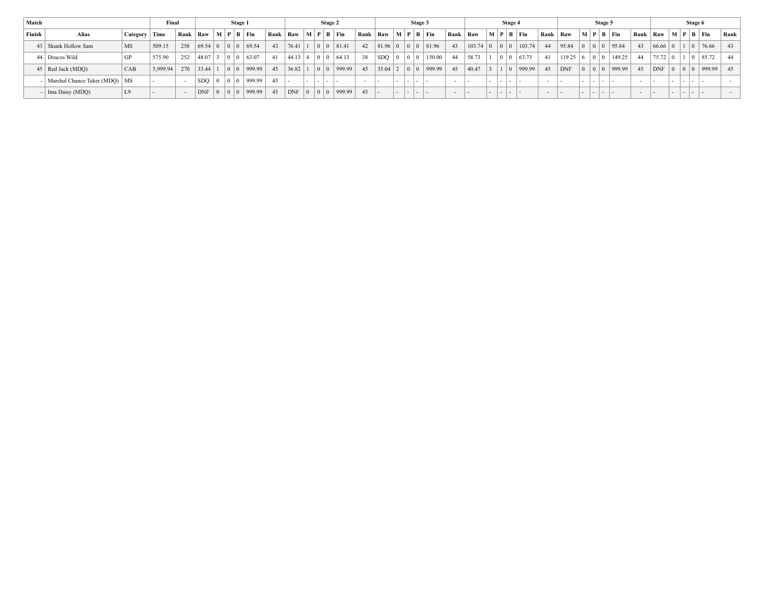| Match  |                                 |                 | Final    |     |                 |                                           | Stage 1                                        |      |            |   | <b>Stage 2</b>                  |      |                          |        |                                           | Stage 3     |                                 |        |                 |        |                                           | Stage 4 |                                           |        |            |        | Stage 5                                   |                 |        |                |                                               | Stage 6         |                          |      |
|--------|---------------------------------|-----------------|----------|-----|-----------------|-------------------------------------------|------------------------------------------------|------|------------|---|---------------------------------|------|--------------------------|--------|-------------------------------------------|-------------|---------------------------------|--------|-----------------|--------|-------------------------------------------|---------|-------------------------------------------|--------|------------|--------|-------------------------------------------|-----------------|--------|----------------|-----------------------------------------------|-----------------|--------------------------|------|
| Finish | Alias                           | Category   Time |          |     |                 |                                           | Rank   Raw $\vert M \vert P \vert B \vert$ Fin | Rank | Raw        |   | $\mid M \mid P \mid B \mid Fin$ | Rank | Raw                      |        |                                           |             | $\mid M \mid P \mid B \mid Fin$ |        | Rank Raw        |        |                                           |         | $\vert$ M $\vert$ P $\vert$ B $\vert$ Fin | Rank   | Raw        |        |                                           | M   P   B   Fin | Rank   | Raw            |                                               |                 | $M$   $P$   $B$   $F$ in | Rank |
|        | 43   Skunk Hollow Sam           | <b>MS</b>       | 509.15   |     | 258   69.54   0 |                                           | 0 0 69.54                                      | 43   | 76.41      |   | 81.41                           | 42   | 81.96 0                  |        |                                           |             | 0 0 81.96                       | 43     | $103.74 \mid 0$ |        | $\begin{array}{c c} 0 & 0 \\ \end{array}$ |         | 103.74                                    | 44     | 95.84      |        |                                           | 0 0 0 95.84     | 43     | $66.66 \mid 0$ |                                               | 0               | 176.66                   | -43  |
|        | 44 Deuces Wild                  | GP              | 575.90   | 252 | 48.07           | $\vert 0 \vert$                           | $ 0 $ 63.07                                    | 41   | 44.13 4    |   | 64.13                           | 38   | $ $ SDQ $ $ 0            |        | $\begin{array}{c c} 0 & 0 \\ \end{array}$ |             | 150.00                          | 44     | 58.73           |        | 0 <sup>10</sup>                           |         | 63.73                                     | 41     | $119.25$ 6 |        | $\begin{array}{c c} 0 & 0 \\ \end{array}$ | 149.25          | 44     | 75.72          |                                               | $\vert 0 \vert$ | 85.72                    | - 44 |
|        | 45   Red Jack (MDO)             | <b>CAB</b>      | 5,999.94 | 270 | 133.44          | $\vert 0 \vert$                           | 999.99                                         | 45   | 36.82      |   | 999.99                          | 45   | $35.04$ 2                |        | $\begin{array}{c c} 0 & 0 \\ \end{array}$ |             | 999.99                          | 45     | 40.47           |        | 1 <sup>1</sup>                            |         | 999.99                                    | 45     | $ $ DNF    |        | $\begin{array}{c c} 0 & 0 \\ \end{array}$ | 999.99          | 45     | <b>DNF</b>     | $\begin{array}{c c} 0 & 0 \\ 0 & \end{array}$ |                 | $ 999.99 $ 45            |      |
|        | Marshal Chance Taker (MDQ)   MS |                 |          |     | $SDO$   0       | $\begin{array}{c c} 0 & 0 \\ \end{array}$ | 999.99                                         | 45   |            | . |                                 |      | . .                      | $\sim$ |                                           | 1 - 1 - 1 - |                                 |        |                 |        | .                                         |         |                                           | $\sim$ |            |        | .                                         |                 |        |                | .                                             |                 |                          |      |
|        | - Ima Daisy (MDQ)               | L9              |          |     | <b>DNF</b>      | $\overline{0}$                            | 999.99                                         | 45   | <b>DNF</b> |   | 999.99                          | 45   | $\overline{\phantom{a}}$ | . .    |                                           | .           |                                 | $\sim$ |                 | $\sim$ | ----                                      |         |                                           | $\sim$ | . .        | $\sim$ | .                                         |                 | $\sim$ |                | .                                             |                 |                          |      |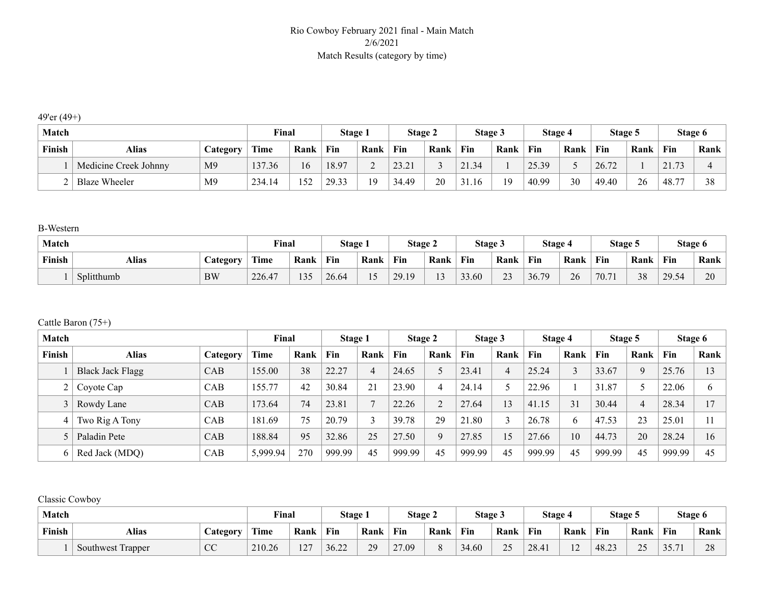### Rio Cowboy February 2021 final - Main Match 2/6/2021 Match Results (category by time)

49'er (49+)

| <b>Match</b> |                       |                               | Final  |      | Stage 1 |      | <b>Stage 2</b> |      | <b>Stage 3</b> |      | Stage 4 |                          | Stage 5 |      | Stage 6               |      |
|--------------|-----------------------|-------------------------------|--------|------|---------|------|----------------|------|----------------|------|---------|--------------------------|---------|------|-----------------------|------|
| Finish       | Alias                 | <b><i><u>Category</u></i></b> | Time   | Rank | Fin     | Rank | Fin            | Rank | Fin            | Rank | Fin     | Rank                     | Fin     | Rank | Fin                   | Rank |
|              | Medicine Creek Johnny | M <sub>9</sub>                | 137.36 | 16   | 18.97   | ∠    | 23.21          |      | 21.34          |      | 25.39   | $\overline{\phantom{a}}$ | 26.72   |      | 2173                  |      |
|              | <b>Blaze Wheeler</b>  | M <sub>9</sub>                | 234.14 | 152  | 29.33   | 19   | 34.49          | 20   | 31.16          | 19   | 40.99   | 30                       | 49.40   | 26   | 48.<br>$\overline{a}$ | 38   |

B-Western

| Match  |              |                 | Final  |      | Stage 1 |                       | <b>Stage 2</b> |        | Stage 3 |                       | Stage 4 |      | <b>Stage 5</b> |      |       | Stage 6 |
|--------|--------------|-----------------|--------|------|---------|-----------------------|----------------|--------|---------|-----------------------|---------|------|----------------|------|-------|---------|
| Finish | <b>Alias</b> | <i>Category</i> | Time   | Rank | Fin     | Rank                  | Fin            | Rank   | Fin     | Rank                  | Fin     | Rank | Fin            | Rank | Fin   | Rank    |
|        | Splitthumb   | BW              | 226.47 | 135  | 26.64   | $\cdot$ $\sim$<br>⊥ ~ | 29.19          | $\sim$ | 33.60   | 2 <sub>3</sub><br>ر_ر | 36.79   | 26   | 70.71          | 38   | 29.54 | 20      |

#### Cattle Baron (75+)

| <b>Match</b> |                         |                 | Final    |      | Stage 1 |                | Stage 2 |          | Stage 3 |      | Stage 4 |      | Stage 5 |             | Stage 6 |      |
|--------------|-------------------------|-----------------|----------|------|---------|----------------|---------|----------|---------|------|---------|------|---------|-------------|---------|------|
| Finish       | <b>Alias</b>            | <b>Category</b> | Time     | Rank | Fin     | Rank           | Fin     | Rank     | Fin     | Rank | Fin     | Rank | Fin     | Rank        | Fin     | Rank |
|              | <b>Black Jack Flagg</b> | <b>CAB</b>      | 155.00   | 38   | 22.27   | $\overline{4}$ | 24.65   |          | 23.41   |      | 25.24   | 3    | 33.67   | $\mathbf Q$ | 25.76   | 13   |
|              | Coyote Cap              | <b>CAB</b>      | 155.77   | 42   | 30.84   | 21             | 23.90   |          | 24.14   |      | 22.96   |      | 31.87   |             | 22.06   | 6    |
|              | Rowdy Lane              | CAB             | 173.64   | 74   | 23.81   |                | 22.26   |          | 27.64   | 13   | 41.15   | 31   | 30.44   | 4           | 28.34   | 17   |
| 4            | Two Rig A Tony          | <b>CAB</b>      | 181.69   | 75   | 20.79   | $\sim$         | 39.78   | 29       | 21.80   |      | 26.78   | 6    | 47.53   | 23          | 25.01   | 11   |
|              | Paladin Pete            | CAB             | 188.84   | 95   | 32.86   | 25             | 27.50   | $\Omega$ | 27.85   | 15   | 27.66   | 10   | 44.73   | 20          | 28.24   | 16   |
| 6.           | Red Jack (MDQ)          | CAB             | 5,999.94 | 270  | 999.99  | 45             | 999.99  | 45       | 999.99  | 45   | 999.99  | 45   | 999.99  | 45          | 999.99  | 45   |

Classic Cowboy

| Match  |                   |                          | Final       |                      | Stage |      | Stage 2           |      | Stage 3 |      | Stage 4 |                      | Stage 5 |           | Stage 6       |                      |
|--------|-------------------|--------------------------|-------------|----------------------|-------|------|-------------------|------|---------|------|---------|----------------------|---------|-----------|---------------|----------------------|
| Finish | Alias             | Category                 | <b>Time</b> | Rank                 | Fin   | Rank | Fin               | Rank | Fin     | Rank | Fin     | Rank                 | Fin     | Rank      | Fin           | Rank                 |
|        | Southwest Trapper | $\overline{C}$<br>$\sim$ | 210.26      | $\sqrt{7}$<br>، سے ا | 36.22 | 29   | 27.09<br>$\sim$ 1 |      | 34.60   | 25   | 28.41   | 1 <sub>0</sub><br>⊥∠ | 48.23   | ጎሮ<br>ں ت | 25.7<br>JJ.II | $\cap$<br>$\angle 0$ |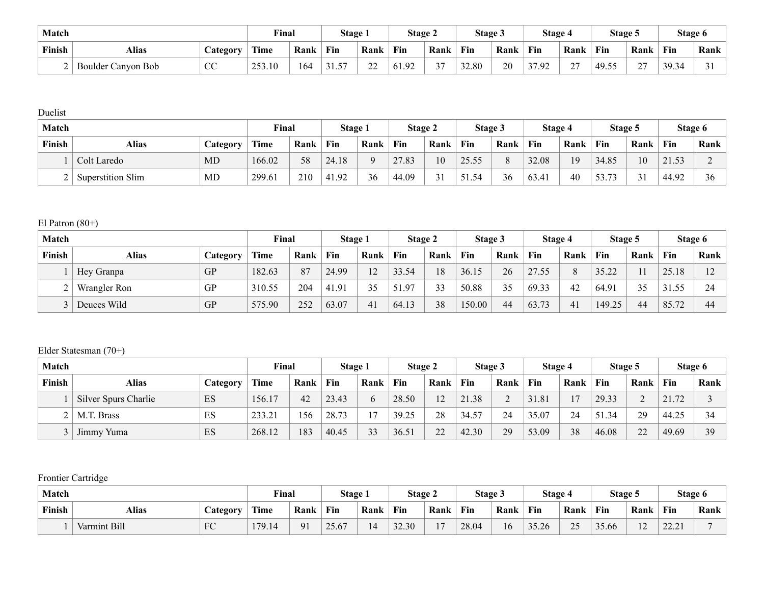| Match  |                         |                    | Final  |      | Stage 1 |              | <b>Stage 2</b> |                 | Stage 3 |      | Stage 4 |                | Stage 5    |                    |       | Stage 6 |
|--------|-------------------------|--------------------|--------|------|---------|--------------|----------------|-----------------|---------|------|---------|----------------|------------|--------------------|-------|---------|
| Finish | Alias                   | <b>Category</b>    | Time   | Rank | Fin     | Rank         | Fin            | Rank            | Fin     | Rank | Fin     | Rank           | Fin        | Rank               | Fin   | Rank    |
|        | Boulder C<br>Canyon Bob | $\alpha$<br>$\sim$ | 253.10 | 164  | 57      | $\sim$<br>∠∠ | 61.92          | $\sim$ $-$<br>◡ | 32.80   | 20   | 37.92   | $\sim$<br>ا سم | 49.55<br>. | $\sim$<br><u>_</u> | 39.34 |         |

Duelist

| Match  |                          |           | Final  |      | Stage i |          | Stage 2 |        | Stage 3 |          | Stage 4 |      | Stage 5 |      | Stage 6 |      |
|--------|--------------------------|-----------|--------|------|---------|----------|---------|--------|---------|----------|---------|------|---------|------|---------|------|
| Finish | Alias                    | Category  | Time   | Rank | Fin     | Rank     | Fin     | Rank   | Fin     | Rank     | Fin     | Rank | Fin     | Rank | Fin     | Rank |
|        | Colt Laredo              | MD        | 166.02 | 58   | 24.18   | $\Omega$ | 27.83   | 10     | 25.55   | $\Omega$ | 32.08   | 19   | 34.85   | 10   | 21.53   |      |
|        | <b>Superstition Slim</b> | <b>MD</b> | 299.61 | 210  | 41.92   | 36       | 44.09   | $\sim$ | 51.54   | 36       | 63.41   | 40   | 53.73   | 31   | 44.92   | 36   |

El Patron (80+)

| Match  |              |           | Final       |      | Stage 1 |      | <b>Stage 2</b> |      | Stage 3 |      | Stage 4 |      | Stage 5 |      |       | Stage 6     |
|--------|--------------|-----------|-------------|------|---------|------|----------------|------|---------|------|---------|------|---------|------|-------|-------------|
| Finish | Alias        | Category  | <b>Time</b> | Rank | Fin     | Rank | Fin            | Rank | Fin     | Rank | Fin     | Rank | Fin     | Rank | Fin   | Rank        |
|        | Hey Granpa   | <b>GP</b> | 182.63      | 87   | 24.99   | 12   | 33.54          | 18   | 36.15   | 26   | 27.55   | 8    | 35.22   |      | 25.18 | $1^{\circ}$ |
|        | Wrangler Ron | GP        | 310.55      | 204  | 41.91   | 35   | 51.97          | 33   | 50.88   | 35   | 69.33   | 42   | 64.91   | 35   | 31.55 | 24          |
|        | Deuces Wild  | GP        | 575.90      | 252  | 63.07   | 41   | 64.13          | 38   | 150.00  | 44   | 63.73   | 41   | 149.25  | 44   | 85.72 | 44          |

# Elder Statesman (70+)

| Match  |                             |          | Final       |      | Stage 1 |      | Stage 2 |      | Stage 3 |      | Stage 4 |      | <b>Stage 5</b> |      |          | Stage 6 |
|--------|-----------------------------|----------|-------------|------|---------|------|---------|------|---------|------|---------|------|----------------|------|----------|---------|
| Finish | Alias                       | Category | <b>Time</b> | Rank | Fin     | Rank | Fin     | Rank | Fin     | Rank | Fin     | Rank | Fin            | Rank | Fin      | Rank    |
|        | <b>Silver Spurs Charlie</b> | ES       | 156.17      | 42   | 23.43   | h    | 28.50   | 12   | 21.38   |      | 31.81   | 17   | 29.33          |      | 72<br>21 |         |
|        | M.T. Brass                  | ES       | 233.21      | 156  | 28.73   | 17   | 39.25   | 28   | 34.57   | 24   | 35.07   | 24   | 51.34          | 29   | 44.25    | 34      |
|        | Jimmy Yuma                  | ES       | 268.12      | 183  | 40.45   | 33   | 36.51   | 22   | 42.30   | 29   | 53.09   | 38   | 46.08          | 22   | 49.69    | 39      |

Frontier Cartridge

| Match  |              |                       | Final                     |            | Stage |      | Stage 2 |      | Stage 3 |                   | Stage 4 |           | Stage 5 |             |                         | Stage 6 |
|--------|--------------|-----------------------|---------------------------|------------|-------|------|---------|------|---------|-------------------|---------|-----------|---------|-------------|-------------------------|---------|
| Finish | Alias        | $\mathcal{L}$ ategory | Time                      | Rank       | Fin   | Rank | Fin     | Rank | Fin     | Rank              | Fin     | Rank      | Fin     | Rank        | Fin                     | Rank    |
|        | Varmint Bill | FC                    | 170 1<br>$\overline{2.1}$ | $\Omega$ 1 | 25.67 | 14   | 32.30   |      | 28.04   | $\epsilon$<br>l 6 | 35.26   | 25<br>ں ت | 35.66   | $\sim$<br>∸ | 22.21<br>$\overline{a}$ |         |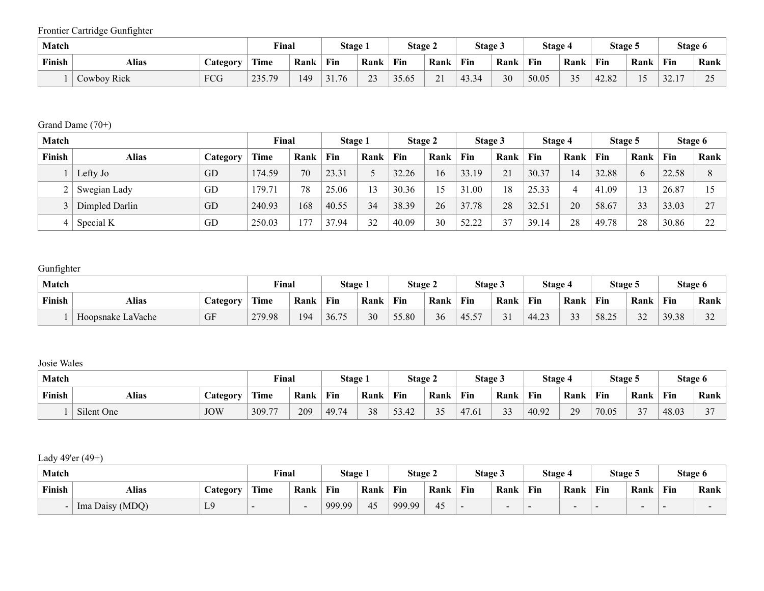Frontier Cartridge Gunfighter

| Match  |             |                 | Final           |      | Stage 1 |                 | <b>Stage 2</b> |                      | Stage 3 |      | Stage 4 |      | Stage 5 |        |               | Stage 6  |
|--------|-------------|-----------------|-----------------|------|---------|-----------------|----------------|----------------------|---------|------|---------|------|---------|--------|---------------|----------|
| Finish | Alias       | <b>Category</b> | Time            | Rank | Fin     | Rank            | Fin            | Rank                 | Fin     | Rank | Fin     | Rank | Fin     | Rank   | Fin           | Rank     |
|        | Cowboy Rick | FCG             | 235.70<br>233.T | 149  | 31.76   | $\bigcap$<br>23 | 35.65          | $\sim$ 1<br>$\sim$ 1 | 43.34   | 30   | 50.05   | 35   | 42.82   | $\sim$ | 22.17<br>32.1 | $\Delta$ |

# Grand Dame (70+)

| <b>Match</b> |                |          | Final       |      | Stage 1 |      |       | Stage 2 | Stage 3 |      | Stage 4 |      | Stage 5 |      |       | Stage 6             |
|--------------|----------------|----------|-------------|------|---------|------|-------|---------|---------|------|---------|------|---------|------|-------|---------------------|
| Finish       | Alias          | Category | <b>Time</b> | Rank | Fin     | Rank | Fin   | Rank    | Fin     | Rank | Fin     | Rank | Fin     | Rank | Fin   | Rank                |
|              | Lefty Jo       | GD       | 174.59      | 70   | 23.31   |      | 32.26 | 16      | 33.19   | 21   | 30.37   | 14   | 32.88   |      | 22.58 | $\Omega$            |
|              | Swegian Lady   | GD       | 179.71      | 78   | 25.06   | 13   | 30.36 |         | 31.00   | 18   | 25.33   | 4    | 41.09   |      | 26.87 |                     |
|              | Dimpled Darlin | GD       | 240.93      | 168  | 40.55   | 34   | 38.39 | 26      | 37.78   | 28   | 32.51   | 20   | 58.67   | 33   | 33.03 | $\mathcal{L}$       |
|              | Special K      | GD       | 250.03      | 177  | 37.94   | 32   | 40.09 | 30      | 52.22   |      | 39.14   | 28   | 49.78   | 28   | 30.86 | $\mathcal{L}$<br>∠∠ |

# Gunfighter

| Match  |                          |    | Final       |      | Stage |      | <b>Stage 2</b> |      | Stage 3         |      | Stage 4 |              | Stage 5 |              |       | Stage 6       |
|--------|--------------------------|----|-------------|------|-------|------|----------------|------|-----------------|------|---------|--------------|---------|--------------|-------|---------------|
| Finish | Alias<br><b>Category</b> |    | <b>Time</b> | Rank | Fin   | Rank | Fin            | Rank | Fin             | Rank | Fin     | Rank         | Fin     | Rank         | Fin   | Rank          |
|        | Hoopsnake LaVache        | GF | 279.98      | 194  | 36.75 | 30   | 55.80          | 36   | $1 - F$<br>45.5 |      | 44.23   | $\sim$<br>33 | 58.25   | $\sim$<br>32 | 39.38 | $\sim$<br>ے ر |

# Josie Wales

| Match  |              |            | Final           |      | <b>Stage</b> |      | Stage 2                  |                     | Stage 3 |                          | Stage 4 |      | Stage 5 |                         |       | Stage 6 |
|--------|--------------|------------|-----------------|------|--------------|------|--------------------------|---------------------|---------|--------------------------|---------|------|---------|-------------------------|-------|---------|
| Finish | <b>Alias</b> |            | $T = 1$<br>Uime | Rank | Fin          | Rank | Fin                      | Rank                | Fin     | Rank                     | Fin     | Rank | Fin     | Rank                    | Fin   | Rank    |
|        | Silent One   | <b>JOW</b> | 309.77          | 209  | 49.74        | 38   | 52<br>$\Lambda$<br>33.42 | $\sim$ $\sim$<br>ັັ | 47.61   | $\mathbf{a}$<br>-4<br>JJ | 40.92   | 29   | 70.05   | $\sim$<br>$\mathcal{L}$ | 48.03 | $\sim$  |

# Lady 49'er (49+)

| Match  |                 |                               | Final         |                          | Stage 1 |      | Stage 2 |      | Stage 3 |        | Stage 4 |                          | Stage 5 |      |     | Stage 6 |
|--------|-----------------|-------------------------------|---------------|--------------------------|---------|------|---------|------|---------|--------|---------|--------------------------|---------|------|-----|---------|
| Finish | <b>Alias</b>    | <b><i><u>Lategory</u></i></b> | rane.<br>Lîme | Rank                     | Fin     | Rank | Fin     | Rank | Fin     | Rank   | Fin     | Rank                     | Fin     | Rank | Fin | Rank    |
|        | Ima Daisy (MDQ) | $\overline{1}$ 0<br>ш.        |               | $\overline{\phantom{0}}$ | 999.99  | 45   | 999.99  | 45   |         | $\sim$ | . .     | $\overline{\phantom{0}}$ |         | -    |     |         |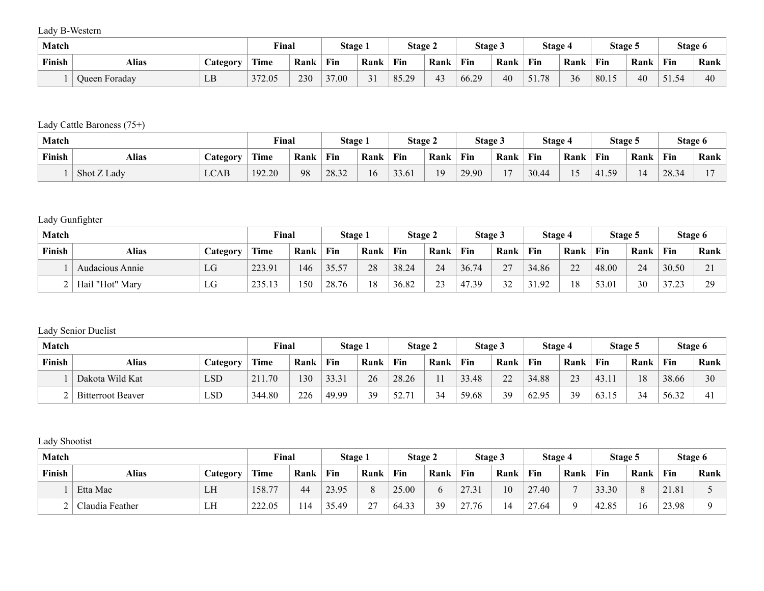Lady B-Western

| Match  |               |                 | Final  |      | Stage 1 |                            | <b>Stage 2</b> |      | <b>Stage 3</b> |      | Stage 4 |      | Stage 5 |      | Stage 6          |      |
|--------|---------------|-----------------|--------|------|---------|----------------------------|----------------|------|----------------|------|---------|------|---------|------|------------------|------|
| Finish | Alias         | <b>Category</b> | Time   | Rank | Fin     | Rank                       | Fin            | Rank | Fin            | Rank | Fin     | Rank | Fin     | Rank | Fin              | Rank |
|        | Queen Foraday | $T$ D<br>பப     | 372.05 | 230  | 37.00   | $\sim$ 1<br>$\mathfrak{1}$ | 85.29          | 4.   | 66.29          | 40   | 51.78   | 36   | 80.15   | 40   | $-1$<br>$\Delta$ | 40   |

# Lady Cattle Baroness (75+)

| Match  |             |                       | Final  |      | Stage 1 |      | Stage 2 |                | Stage 3 |       | Stage 4 |      | Stage 5 |      |       | Stage 6 |
|--------|-------------|-----------------------|--------|------|---------|------|---------|----------------|---------|-------|---------|------|---------|------|-------|---------|
| Finish | Alias       | $\mathcal{L}$ ategory | Time   | Rank | Fin     | Rank | Fin     | Rank           | Fin     | Rank  | Fin     | Rank | Fin     | Rank | Fin   | Rank    |
|        | Shot Z Lady | <b>LCAB</b>           | 192.20 | 98   | 28.32   | 16   | 33.61   | 1 <sub>Q</sub> | 29.90   | $1 -$ | 30.44   |      | 59      |      | 28.34 | . .     |

# Lady Gunfighter

| Match  |                 |          | Final  |      | Stage 1 |      | <b>Stage 2</b> |                         | Stage 3 |               | Stage 4 |      | Stage 5 |      |                 | Stage 6            |
|--------|-----------------|----------|--------|------|---------|------|----------------|-------------------------|---------|---------------|---------|------|---------|------|-----------------|--------------------|
| Finish | Alias           | Category | Time   | Rank | Fin     | Rank | Fin            | Rank                    | Fin     | Rank          | Fin     | Rank | Fin     | Rank | Fin             | Rank               |
|        | Audacious Annie | LG       | 223.91 | 146  | 35.57   | 28   | 38.24          | 24                      | 36.74   | $\mathcal{L}$ | 34.86   | 22   | 48.00   | 24   | 30.50           | $\sim$ 1<br>$\sim$ |
|        | Hail "Hot" Mary | LG       | 235.13 | 150  | 28.76   | 18   | 36.82          | $\mathbf{\Omega}$<br>ر_ | 47.39   | 32            | .92     | 18   | 53.01   | 30   | 37.23<br>ن کے ر | 29                 |

# Lady Senior Duelist

| <b>Match</b> |                          |                 | Final  |      | Stage 1 |      | Stage 2 |      | Stage 3 |        | Stage 4 |      | Stage 5 |      |       | Stage 6 |
|--------------|--------------------------|-----------------|--------|------|---------|------|---------|------|---------|--------|---------|------|---------|------|-------|---------|
| Finish       | <b>Alias</b>             | <b>Category</b> | Time   | Rank | Fin     | Rank | Fin     | Rank | Fin     | Rank   | Fin     | Rank | Fin     | Rank | Fin   | Rank    |
|              | Dakota Wild Kat          | LSD             | 211.70 | 130  | 33.31   | 26   | 28.26   |      | 33.48   | $\cap$ | 34.88   | 23   | 43.11   | 18   | 38.66 | 30      |
|              | <b>Bitterroot Beaver</b> | LSD             | 344.80 | 226  | 49.99   | 39   | 52.7'   | 34   | 59.68   | 39     | 62.95   | 39   | 63.15   | 34   | 56.32 |         |

# Lady Shootist

| Match  |                 |          | Final  |      | Stage 1 |                 | Stage 2 |      | Stage 3 |      | Stage 4 |          | Stage 5 |          | Stage 6 |      |
|--------|-----------------|----------|--------|------|---------|-----------------|---------|------|---------|------|---------|----------|---------|----------|---------|------|
| Finish | Alias           | Category | Time   | Rank | Fin     | Rank            | Fin     | Rank | Fin     | Rank | Fin     | Rank     | Fin     | Rank     | Fin     | Rank |
|        | Etta Mae        | LH       | 158.77 | 44   | 23.95   | $\Omega$<br>O   | 25.00   |      | 27.31   | 10   | 27.40   |          | 33.30   | $\Omega$ | 21.81   |      |
|        | Claudia Feather | LH       | 222.05 | 114  | 35.49   | $\gamma$<br>Z., | 64.33   | 39   | 27.76   | 4    | 27.64   | $\Omega$ | 42.85   | 16       | 23.98   |      |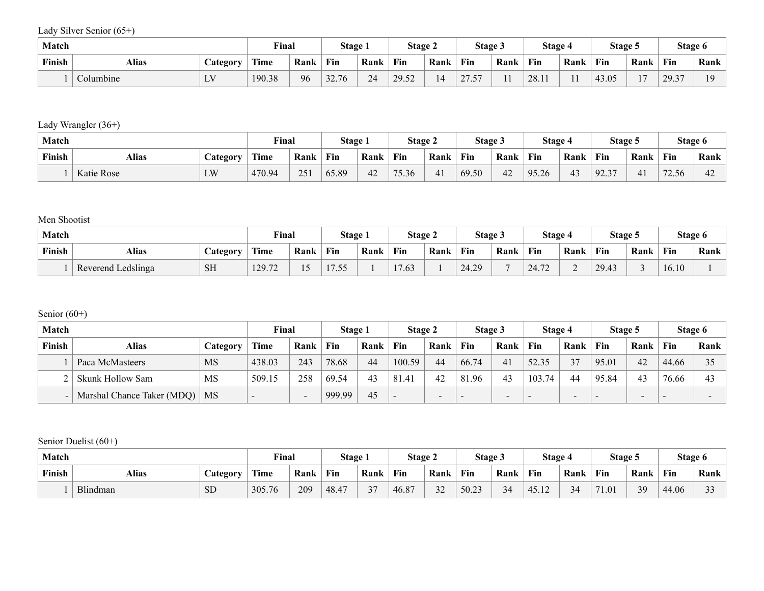Lady Silver Senior (65+)

| Match  |           |                     | Final  |      | Stage 1 |      | Stage 2 |      | Stage 3                               |      | Stage 4 |      | Stage 5 |      | Stage 6 |      |
|--------|-----------|---------------------|--------|------|---------|------|---------|------|---------------------------------------|------|---------|------|---------|------|---------|------|
| Finish | Alias     | $\triangle$ ategory | Time   | Rank | Fin     | Rank | Fin     | Rank | Fin                                   | Rank | Fin     | Rank | Fin     | Rank | Fin     | Rank |
|        | Columbine | $\mathbf{I}$<br>⊷   | 190.38 | 96   | 32.76   | 24   | 29.52   | 14   | $\sim$ $\sim$ $\sim$ $\sim$<br>$\sim$ |      | 28.11   |      | 43.05   |      | 29.37   | 10   |

Lady Wrangler (36+)

| Match  |            |          | Final       |      | Stage |      | Stage 2 |       | Stage 3 |      | Stage 4 |      | Stage 5 |               | Stage 6                            |                |
|--------|------------|----------|-------------|------|-------|------|---------|-------|---------|------|---------|------|---------|---------------|------------------------------------|----------------|
| Finish | Alias      | Category | <b>Time</b> | Rank | Fin   | Rank | Fin     | Rank  | Fin     | Rank | Fin     | Rank | Fin     | Rank          | Fin                                | Rank           |
|        | Katie Rose | LW       | 470.94      | 251  | 65.89 | 42   | 75.36   | $-41$ | 69.50   | 42   | 95.26   | 43   | 92.37   | $\mathcal{L}$ | $\overline{\phantom{a}}$<br>(2.56) | $\sim$<br>$+2$ |

Men Shootist

| Match  |                    |                  | Final  |           | Stage 1                                               |      | Stage 2 |      | Stage 3 |      | Stage 4 |      | Stage 5 |      | Stage 6 |      |
|--------|--------------------|------------------|--------|-----------|-------------------------------------------------------|------|---------|------|---------|------|---------|------|---------|------|---------|------|
| Finish | Alias              | <i>C</i> ategory | Time   | Rank      | Fin                                                   | Rank | Fin     | Rank | Fin     | Rank | Fin     | Rank | Fin     | Rank | Fin     | Rank |
|        | Reverend Ledslinga | <b>SH</b>        | 129.72 | . .<br>⊥ັ | $\overline{\phantom{0}}$<br>$ -$<br>$\cdot\cdot\cdot$ |      | 17.63   |      | 24.29   |      | 24.72   | ∸    | 29.43   |      | 16.10   |      |

Senior (60+)

| <b>Match</b> |                            |           | Final                    |                 | Stage 1 |      | Stage 2         |      | Stage 3 |                          | <b>Stage 4</b>           |                          | Stage 5 |                          | Stage 6 |      |
|--------------|----------------------------|-----------|--------------------------|-----------------|---------|------|-----------------|------|---------|--------------------------|--------------------------|--------------------------|---------|--------------------------|---------|------|
| Finish       | Alias                      | Category  | <b>Time</b>              | Rank            | Fin     | Rank | Fin             | Rank | Fin     | Rank                     | Fin                      | Rank                     | Fin     | Rank                     | Fin     | Rank |
|              | Paca McMasteers            | <b>MS</b> | 438.03                   | 243             | 78.68   | 44   | 100.59          | 44   | 66.74   | 41                       | 52.35                    | 37                       | 95.01   | 42                       | 44.66   | 25   |
|              | Skunk Hollow Sam           | MS        | 509.15                   | 258             | 69.54   | 43   | 81.41           | 42   | 81.96   | 43                       | 103.74                   | 44                       | 95.84   | 43                       | 76.66   | 43   |
| $\sim$       | Marshal Chance Taker (MDQ) | MS        | $\overline{\phantom{0}}$ | $\qquad \qquad$ | 999.99  | 45   | $\qquad \qquad$ | - -  |         | $\overline{\phantom{0}}$ | $\overline{\phantom{a}}$ | $\overline{\phantom{a}}$ | -       | $\overline{\phantom{a}}$ |         |      |

Senior Duelist (60+)

| Match  |          |           | Final       |      | Stage 1 |                               | <b>Stage 2</b> |               | Stage 3 |      | Stage 4      |      | Stage 5 |      | Stage 6 |              |
|--------|----------|-----------|-------------|------|---------|-------------------------------|----------------|---------------|---------|------|--------------|------|---------|------|---------|--------------|
| Finish | Alias    | Category  | <b>Time</b> | Rank | Fin     | Rank                          | Fin            | Rank          | Fin     | Rank | Fin          | Rank | Fin     | Rank | Fin     | Rank         |
|        | Blindman | <b>SD</b> | 305.76      | 209  | 48.47   | $\bigcap$<br>$\mathfrak{z}_l$ | 46.87          | $\sim$<br>ے ر | 50.23   | 34   | 45.12<br>τυ. | 34   | 71.01   | 39   | 44.06   | $\sim$<br>-- |